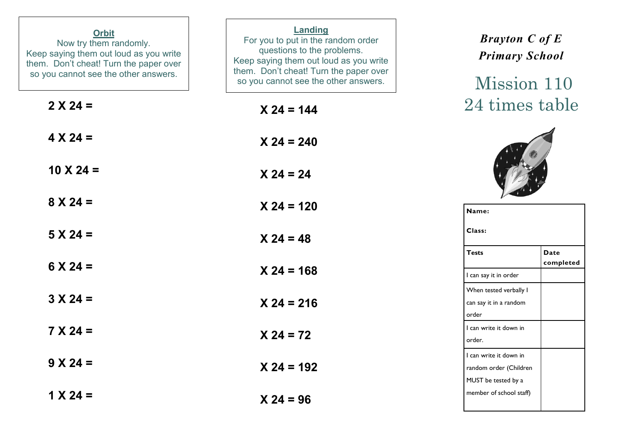| <b>Orbit</b><br>Now try them randomly.<br>Keep saying them out loud as you write<br>them. Don't cheat! Turn the paper over<br>so you cannot see the other answers. | Landing<br>For you to put in the random order<br>questions to the problems.<br>Keep saying them out loud as you write<br>them. Don't cheat! Turn the paper over<br>so you cannot see the other answers. | <b>Brayton C of E</b><br><b>Primary School</b><br>Mission 110           |
|--------------------------------------------------------------------------------------------------------------------------------------------------------------------|---------------------------------------------------------------------------------------------------------------------------------------------------------------------------------------------------------|-------------------------------------------------------------------------|
| $2 X 24 =$                                                                                                                                                         | $X 24 = 144$                                                                                                                                                                                            | 24 times table                                                          |
| $4 X 24 =$                                                                                                                                                         | $X 24 = 240$                                                                                                                                                                                            |                                                                         |
| $10 \times 24 =$                                                                                                                                                   | $X 24 = 24$                                                                                                                                                                                             |                                                                         |
| $8 X 24 =$                                                                                                                                                         | $X 24 = 120$                                                                                                                                                                                            | Name:                                                                   |
| $5 X 24 =$                                                                                                                                                         | $X 24 = 48$                                                                                                                                                                                             | Class:                                                                  |
| $6 \times 24 =$                                                                                                                                                    | $X$ 24 = 168                                                                                                                                                                                            | <b>Tests</b><br><b>Date</b><br>completed<br>I can say it in order       |
| $3 X 24 =$                                                                                                                                                         | $X 24 = 216$                                                                                                                                                                                            | When tested verbally I<br>can say it in a random<br>order               |
| $7 X 24 =$                                                                                                                                                         | $X 24 = 72$                                                                                                                                                                                             | I can write it down in<br>order.                                        |
| $9 X 24 =$                                                                                                                                                         | $X$ 24 = 192                                                                                                                                                                                            | I can write it down in<br>random order (Children<br>MUST be tested by a |
| $1 X 24 =$                                                                                                                                                         | $X 24 = 96$                                                                                                                                                                                             | member of school staff)                                                 |